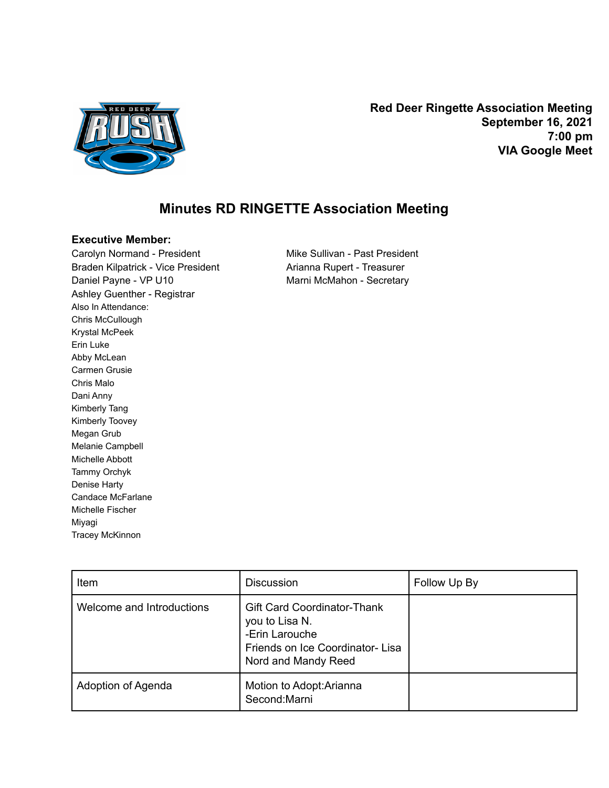

**Red Deer Ringette Association Meeting September 16, 2021 7:00 pm VIA Google Meet**

## **Minutes RD RINGETTE Association Meeting**

## **Executive Member:**

Carolyn Normand - President Mike Sullivan - Past President Braden Kilpatrick - Vice President **Arianna Rupert - Treasurer** Daniel Payne - VP U10 Marni McMahon - Secretary Ashley Guenther - Registrar Also In Attendance: Chris McCullough Krystal McPeek Erin Luke Abby McLean Carmen Grusie Chris Malo Dani Anny Kimberly Tang Kimberly Toovey Megan Grub Melanie Campbell Michelle Abbott Tammy Orchyk Denise Harty Candace McFarlane Michelle Fischer Miyagi Tracey McKinnon

| Item                      | <b>Discussion</b>                                                                                                                | Follow Up By |
|---------------------------|----------------------------------------------------------------------------------------------------------------------------------|--------------|
| Welcome and Introductions | <b>Gift Card Coordinator-Thank</b><br>you to Lisa N.<br>-Erin Larouche<br>Friends on Ice Coordinator-Lisa<br>Nord and Mandy Reed |              |
| Adoption of Agenda        | Motion to Adopt: Arianna<br>Second:Marni                                                                                         |              |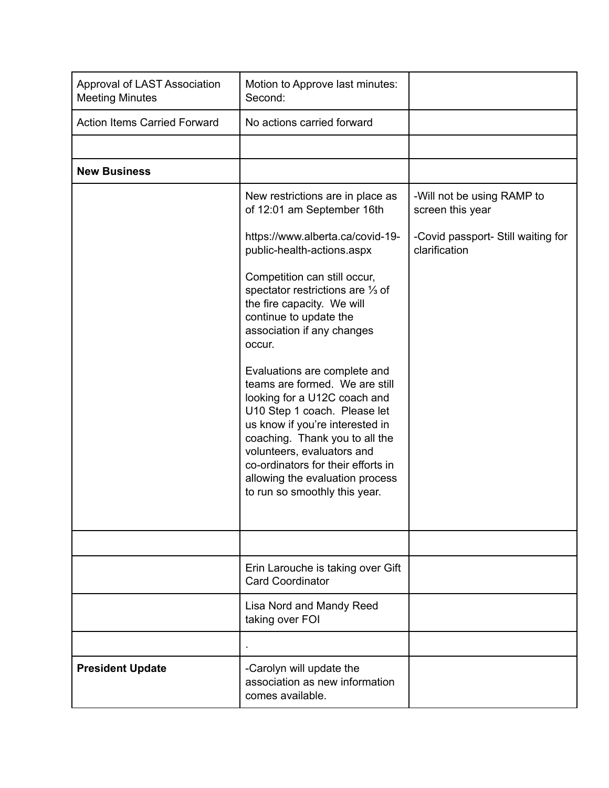| Approval of LAST Association<br><b>Meeting Minutes</b> | Motion to Approve last minutes:<br>Second:                                                                                                                                                                                                                                                                                                  |                                                     |
|--------------------------------------------------------|---------------------------------------------------------------------------------------------------------------------------------------------------------------------------------------------------------------------------------------------------------------------------------------------------------------------------------------------|-----------------------------------------------------|
| <b>Action Items Carried Forward</b>                    | No actions carried forward                                                                                                                                                                                                                                                                                                                  |                                                     |
|                                                        |                                                                                                                                                                                                                                                                                                                                             |                                                     |
| <b>New Business</b>                                    |                                                                                                                                                                                                                                                                                                                                             |                                                     |
|                                                        | New restrictions are in place as<br>of 12:01 am September 16th                                                                                                                                                                                                                                                                              | -Will not be using RAMP to<br>screen this year      |
|                                                        | https://www.alberta.ca/covid-19-<br>public-health-actions.aspx                                                                                                                                                                                                                                                                              | -Covid passport- Still waiting for<br>clarification |
|                                                        | Competition can still occur,<br>spectator restrictions are 1/3 of<br>the fire capacity. We will<br>continue to update the<br>association if any changes<br>occur.                                                                                                                                                                           |                                                     |
|                                                        | Evaluations are complete and<br>teams are formed. We are still<br>looking for a U12C coach and<br>U10 Step 1 coach. Please let<br>us know if you're interested in<br>coaching. Thank you to all the<br>volunteers, evaluators and<br>co-ordinators for their efforts in<br>allowing the evaluation process<br>to run so smoothly this year. |                                                     |
|                                                        |                                                                                                                                                                                                                                                                                                                                             |                                                     |
|                                                        | Erin Larouche is taking over Gift<br><b>Card Coordinator</b>                                                                                                                                                                                                                                                                                |                                                     |
|                                                        | Lisa Nord and Mandy Reed<br>taking over FOI                                                                                                                                                                                                                                                                                                 |                                                     |
|                                                        |                                                                                                                                                                                                                                                                                                                                             |                                                     |
| <b>President Update</b>                                | -Carolyn will update the<br>association as new information<br>comes available.                                                                                                                                                                                                                                                              |                                                     |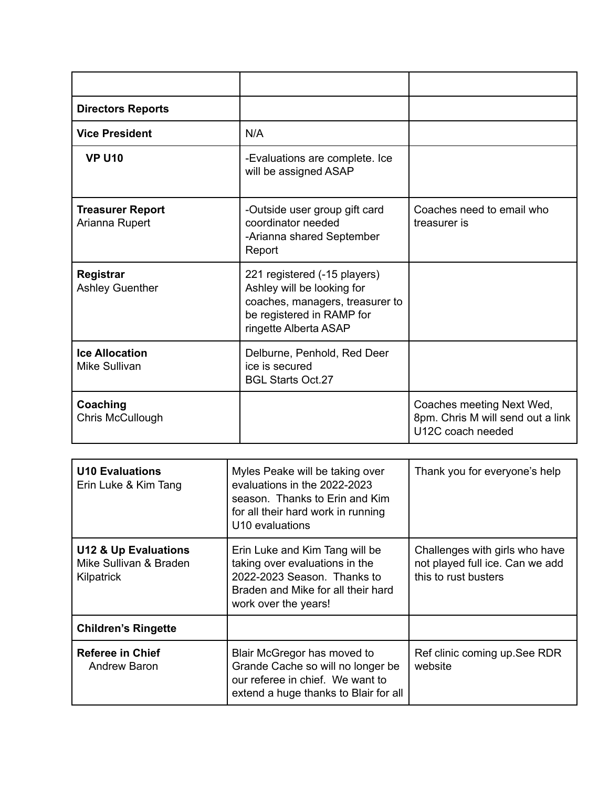| <b>Directors Reports</b>                   |                                                                                                                                                     |                                                                                     |
|--------------------------------------------|-----------------------------------------------------------------------------------------------------------------------------------------------------|-------------------------------------------------------------------------------------|
| <b>Vice President</b>                      | N/A                                                                                                                                                 |                                                                                     |
| <b>VP U10</b>                              | -Evaluations are complete. Ice<br>will be assigned ASAP                                                                                             |                                                                                     |
| <b>Treasurer Report</b><br>Arianna Rupert  | -Outside user group gift card<br>coordinator needed<br>-Arianna shared September<br>Report                                                          | Coaches need to email who<br>treasurer is                                           |
| <b>Registrar</b><br><b>Ashley Guenther</b> | 221 registered (-15 players)<br>Ashley will be looking for<br>coaches, managers, treasurer to<br>be registered in RAMP for<br>ringette Alberta ASAP |                                                                                     |
| <b>Ice Allocation</b><br>Mike Sullivan     | Delburne, Penhold, Red Deer<br>ice is secured<br><b>BGL Starts Oct.27</b>                                                                           |                                                                                     |
| Coaching<br>Chris McCullough               |                                                                                                                                                     | Coaches meeting Next Wed,<br>8pm. Chris M will send out a link<br>U12C coach needed |

| <b>U10 Evaluations</b><br>Erin Luke & Kim Tang                          | Myles Peake will be taking over<br>evaluations in the 2022-2023<br>season. Thanks to Erin and Kim<br>for all their hard work in running<br>U10 evaluations    | Thank you for everyone's help                                                             |
|-------------------------------------------------------------------------|---------------------------------------------------------------------------------------------------------------------------------------------------------------|-------------------------------------------------------------------------------------------|
| <b>U12 &amp; Up Evaluations</b><br>Mike Sullivan & Braden<br>Kilpatrick | Erin Luke and Kim Tang will be<br>taking over evaluations in the<br>2022-2023 Season. Thanks to<br>Braden and Mike for all their hard<br>work over the years! | Challenges with girls who have<br>not played full ice. Can we add<br>this to rust busters |
| <b>Children's Ringette</b>                                              |                                                                                                                                                               |                                                                                           |
| <b>Referee in Chief</b><br><b>Andrew Baron</b>                          | Blair McGregor has moved to<br>Grande Cache so will no longer be<br>our referee in chief. We want to<br>extend a huge thanks to Blair for all                 | Ref clinic coming up. See RDR<br>website                                                  |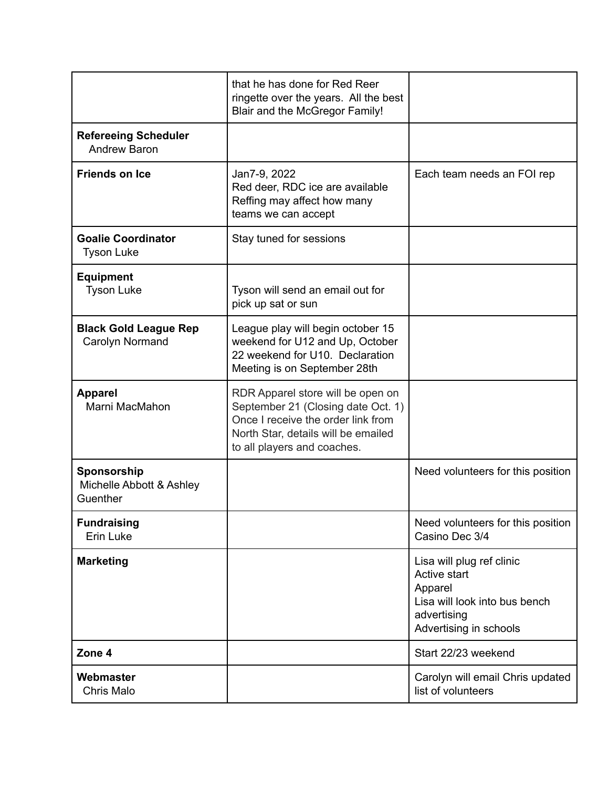|                                                     | that he has done for Red Reer<br>ringette over the years. All the best<br><b>Blair and the McGregor Family!</b>                                                                     |                                                                                                                                |
|-----------------------------------------------------|-------------------------------------------------------------------------------------------------------------------------------------------------------------------------------------|--------------------------------------------------------------------------------------------------------------------------------|
| <b>Refereeing Scheduler</b><br><b>Andrew Baron</b>  |                                                                                                                                                                                     |                                                                                                                                |
| <b>Friends on Ice</b>                               | Jan7-9, 2022<br>Red deer, RDC ice are available<br>Reffing may affect how many<br>teams we can accept                                                                               | Each team needs an FOI rep                                                                                                     |
| <b>Goalie Coordinator</b><br><b>Tyson Luke</b>      | Stay tuned for sessions                                                                                                                                                             |                                                                                                                                |
| <b>Equipment</b><br><b>Tyson Luke</b>               | Tyson will send an email out for<br>pick up sat or sun                                                                                                                              |                                                                                                                                |
| <b>Black Gold League Rep</b><br>Carolyn Normand     | League play will begin october 15<br>weekend for U12 and Up, October<br>22 weekend for U10. Declaration<br>Meeting is on September 28th                                             |                                                                                                                                |
| <b>Apparel</b><br>Marni MacMahon                    | RDR Apparel store will be open on<br>September 21 (Closing date Oct. 1)<br>Once I receive the order link from<br>North Star, details will be emailed<br>to all players and coaches. |                                                                                                                                |
| Sponsorship<br>Michelle Abbott & Ashley<br>Guenther |                                                                                                                                                                                     | Need volunteers for this position                                                                                              |
| <b>Fundraising</b><br>Erin Luke                     |                                                                                                                                                                                     | Need volunteers for this position<br>Casino Dec 3/4                                                                            |
| <b>Marketing</b>                                    |                                                                                                                                                                                     | Lisa will plug ref clinic<br>Active start<br>Apparel<br>Lisa will look into bus bench<br>advertising<br>Advertising in schools |
| Zone 4                                              |                                                                                                                                                                                     | Start 22/23 weekend                                                                                                            |
| Webmaster<br>Chris Malo                             |                                                                                                                                                                                     | Carolyn will email Chris updated<br>list of volunteers                                                                         |